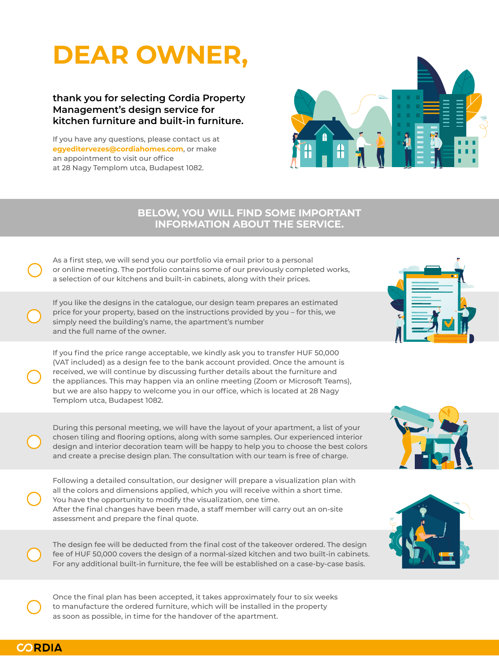#### **BELOW, YOU WILL FIND SOME IMPORTANT INFORMATION ABOUT THE SERVICE.**

# **DEAR OWNER,**

If you have any questions, please contact us at **egyeditervezes@cordiahomes.com**, or make an appointment to visit our office at 28 Nagy Templom utca, Budapest 1082.



As a first step, we will send you our portfolio via email prior to a personal or online meeting. The portfolio contains some of our previously completed works, a selection of our kitchens and built-in cabinets, along with their prices.

If you like the designs in the catalogue, our design team prepares an estimated price for your property, based on the instructions provided by you – for this, we simply need the building's name, the apartment's number and the full name of the owner.

During this personal meeting, we will have the layout of your apartment, a list of your chosen tiling and flooring options, along with some samples. Our experienced interior design and interior decoration team will be happy to help you to choose the best colors and create a precise design plan. The consultation with our team is free of charge.

Following a detailed consultation, our designer will prepare a visualization plan with all the colors and dimensions applied, which you will receive within a short time. You have the opportunity to modify the visualization, one time. After the final changes have been made, a staff member will carry out an on-site assessment and prepare the final quote.









The design fee will be deducted from the final cost of the takeover ordered. The design fee of HUF 50,000 covers the design of a normal-sized kitchen and two built-in cabinets. For any additional built-in furniture, the fee will be established on a case-by-case basis.

Once the final plan has been accepted, it takes approximately four to six weeks to manufacture the ordered furniture, which will be installed in the property as soon as possible, in time for the handover of the apartment.



If you find the price range acceptable, we kindly ask you to transfer HUF 50,000 (VAT included) as a design fee to the bank account provided. Once the amount is received, we will continue by discussing further details about the furniture and the appliances. This may happen via an online meeting (Zoom or Microsoft Teams), but we are also happy to welcome you in our office, which is located at 28 Nagy Templom utca, Budapest 1082.

#### **thank you for selecting Cordia Property Management's design service for kitchen furniture and built-in furniture.**